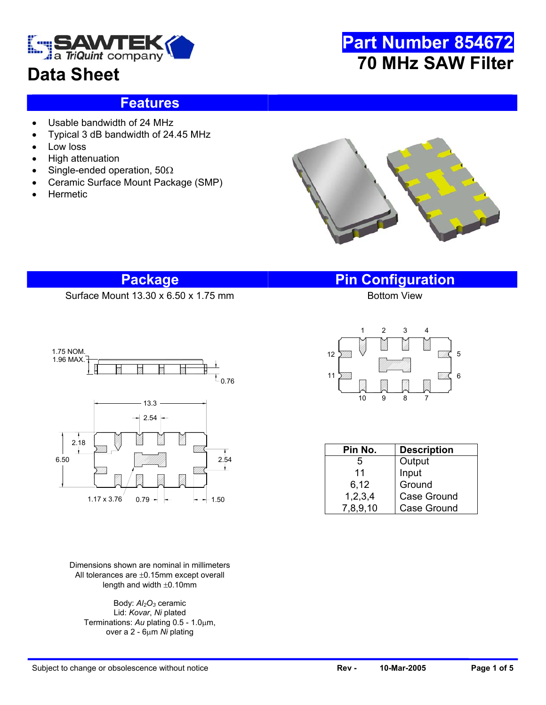

## **Data Sheet**

# **Part Number 854672 70 MHz SAW Filter**

#### **Features**

- Usable bandwidth of 24 MHz
- Typical 3 dB bandwidth of 24.45 MHz
- Low loss
- High attenuation
- Single-ended operation, 50Ω
- Ceramic Surface Mount Package (SMP)
- **Hermetic**



#### **Package Pin Configuration**

Surface Mount  $13.30 \times 6.50 \times 1.75$  mm



Dimensions shown are nominal in millimeters All tolerances are ±0.15mm except overall length and width ±0.10mm

Body:  $Al<sub>2</sub>O<sub>3</sub>$  ceramic Lid: *Kovar*, *Ni* plated Terminations: *Au* plating 0.5 - 1.0µm, over a 2 - 6µm *Ni* plating



| Pin No.    | <b>Description</b> |  |  |
|------------|--------------------|--|--|
| 5          | Output             |  |  |
| 11         | Input              |  |  |
| 6,12       | Ground             |  |  |
| 1, 2, 3, 4 | Case Ground        |  |  |
| 7,8,9,10   | <b>Case Ground</b> |  |  |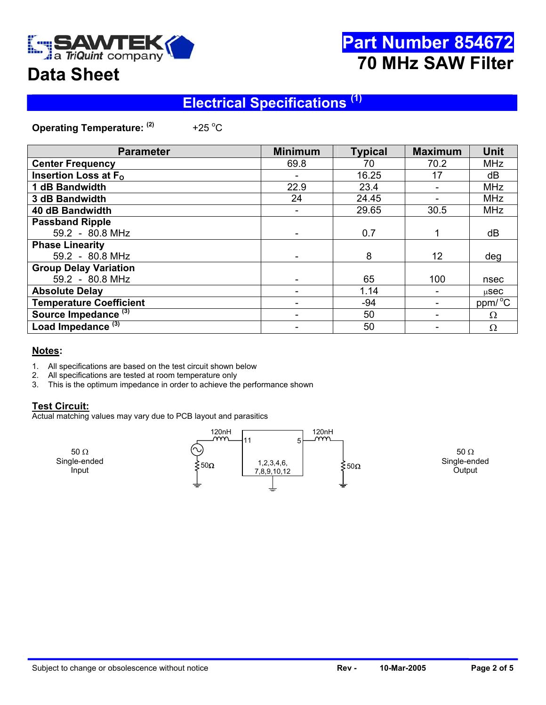

# **Part Number 854672 70 MHz SAW Filter**

# **Data Sheet**

## **Electrical Specifications (1)**

**Operating Temperature: (2)** +25 $^{\circ}$ C

| <b>Parameter</b>                | <b>Minimum</b> | <b>Typical</b> | <b>Maximum</b>  | <b>Unit</b>         |
|---------------------------------|----------------|----------------|-----------------|---------------------|
| <b>Center Frequency</b>         | 69.8           | 70             | 70.2            | <b>MHz</b>          |
| Insertion Loss at $F_{\Omega}$  |                | 16.25          | 17              | dB                  |
| 1 dB Bandwidth                  | 22.9           | 23.4           |                 | <b>MHz</b>          |
| 3 dB Bandwidth                  | 24             | 24.45          |                 | <b>MHz</b>          |
| 40 dB Bandwidth                 |                | 29.65          | 30.5            | <b>MHz</b>          |
| <b>Passband Ripple</b>          |                |                |                 |                     |
| 59.2 - 80.8 MHz                 |                | 0.7            |                 | dB                  |
| <b>Phase Linearity</b>          |                |                |                 |                     |
| 59.2 - 80.8 MHz                 |                | 8              | 12 <sup>2</sup> | deg                 |
| <b>Group Delay Variation</b>    |                |                |                 |                     |
| 59.2 - 80.8 MHz                 |                | 65             | 100             | nsec                |
| <b>Absolute Delay</b>           |                | 1.14           |                 | $\mu$ Sec           |
| <b>Temperature Coefficient</b>  |                | -94            |                 | ppm/ <sup>o</sup> C |
| Source Impedance <sup>(3)</sup> |                | 50             |                 | $\Omega$            |
| Load Impedance <sup>(3)</sup>   |                | 50             |                 | Ω                   |

#### **Notes:**

- 1. All specifications are based on the test circuit shown below
- 2. All specifications are tested at room temperature only
- 3. This is the optimum impedance in order to achieve the performance shown

#### **Test Circuit:**

Actual matching values may vary due to PCB layout and parasitics

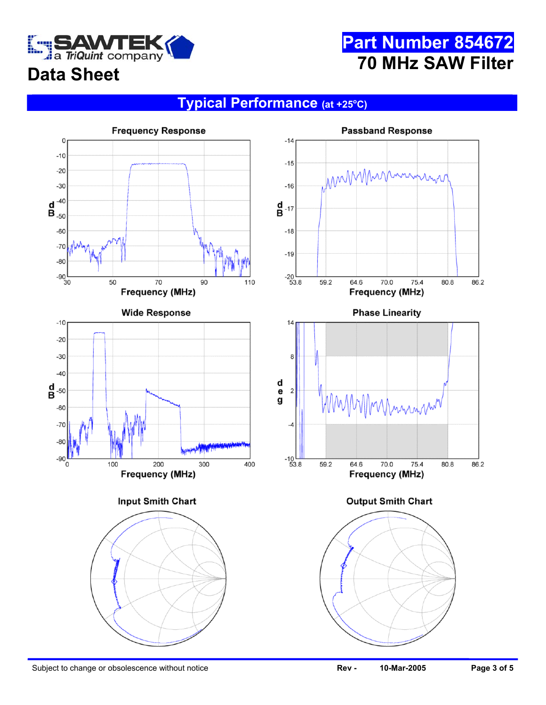

# **Part Number 854672 70 MHz SAW Filter**

# **Data Sheet**

#### **Typical Performance (at +25o C)**

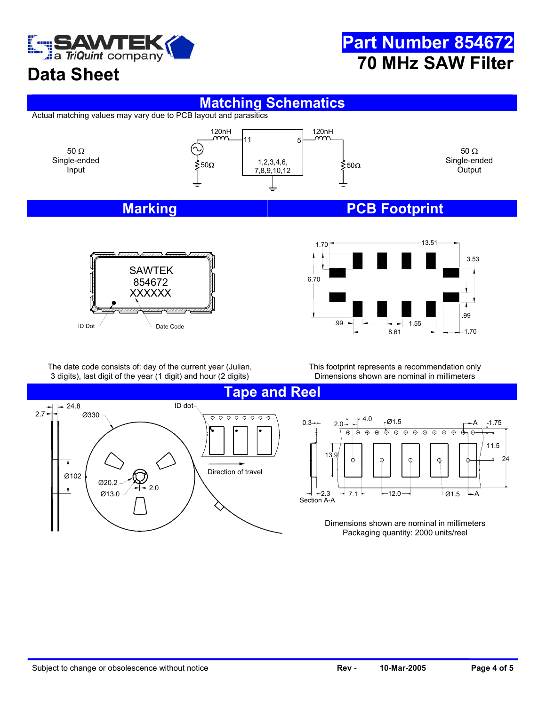

## **Part Number 854672 70 MHz SAW Filter**

# **Data Sheet**

#### **Matching Schematics**

Actual matching values may vary due to PCB layout and parasitics







The date code consists of: day of the current year (Julian, 3 digits), last digit of the year (1 digit) and hour (2 digits)

This footprint represents a recommendation only Dimensions shown are nominal in millimeters



A 1.75 φ  $\overline{\odot}$ ক  $\Theta$  $\overline{\odot}$  $\Theta$  $\overline{\odot}$  $\overline{\oplus}$  $\overline{\circ}$  $\overline{\circ}$  $\oplus$ 11.5 24  $-12.0$  $- A$ 3  $\rightarrow$  7.1  $\leftarrow$  12.0  $\rightarrow$   $\leftarrow$  12.0

> Dimensions shown are nominal in millimeters Packaging quantity: 2000 units/reel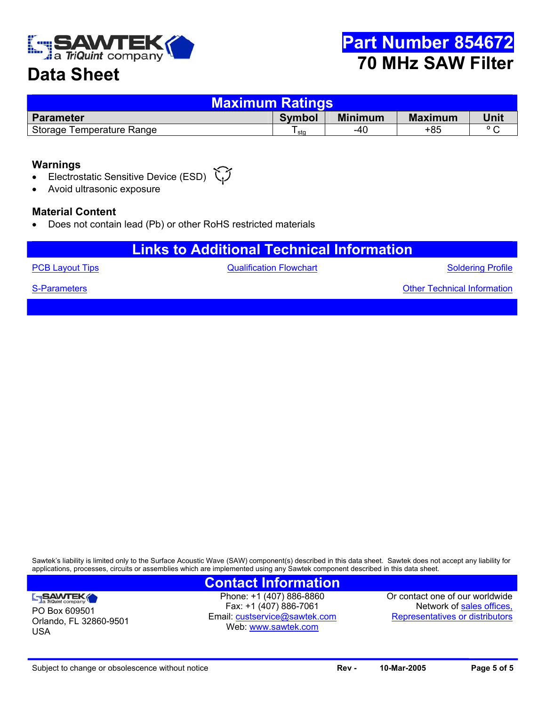

## **Data Sheet**

| <b>Maximum Ratings</b>    |        |                |                |                |  |  |  |
|---------------------------|--------|----------------|----------------|----------------|--|--|--|
| <b>Parameter</b>          | Symbol | <b>Minimum</b> | <b>Maximum</b> | Unit           |  |  |  |
| Storage Temperature Range | sta    | -40            | +85            | $\circ$ $\sim$ |  |  |  |

#### **Warnings**

- Electrostatic Sensitive Device (ESD)
- Avoid ultrasonic exposure

#### **Material Content**

• Does not contain lead (Pb) or other RoHS restricted materials

### **Links to Additional Technical Information**

**[PCB Layout Tips](http://www.triquint.com/company/divisions/sawtek/pcbtips.cfm) CONFIDENTIAL CONTROLLY A CONTROLLY CONTROLLY A CONTROLLY A CONTROLLY A CONTROLLY A CONTROLLY A CONTROLLY A CONTROLLY A CONTROLLY A CONTROLLY A CONTROLLY A CONTROLLY A CONTROLLY A CONTROLLY A CONTROLLY A** 

Soldering Profile

Other Technical Information

[S-Parameters](mailto:custservice@sawtek.com?subject=S-parameter request)

PO Box 609501

SAWTEK

USA

Orlando, FL 32860-9501

Sawtek's liability is limited only to the Surface Acoustic Wave (SAW) component(s) described in this data sheet. Sawtek does not accept any liability for applications, processes, circuits or assemblies which are implemented using any Sawtek component described in this data sheet.

#### **Contact Information**

Phone: +1 (407) 886-8860 Fax: +1 (407) 886-7061 Email: [custservice@sawtek.com](mailto:custservice@sawtek.com) Web: [www.sawtek.com](http://www.triquint.com/company/divisions/sawtek/)

Or contact one of our worldwide Network of [sales offices,](http://www.triquint.com/sales/) Representatives or distributors

Subject to change or obsolescence without notice **Rev - Rev - 10-Mar-2005 Page 5 of 5 Page 5 of 5**